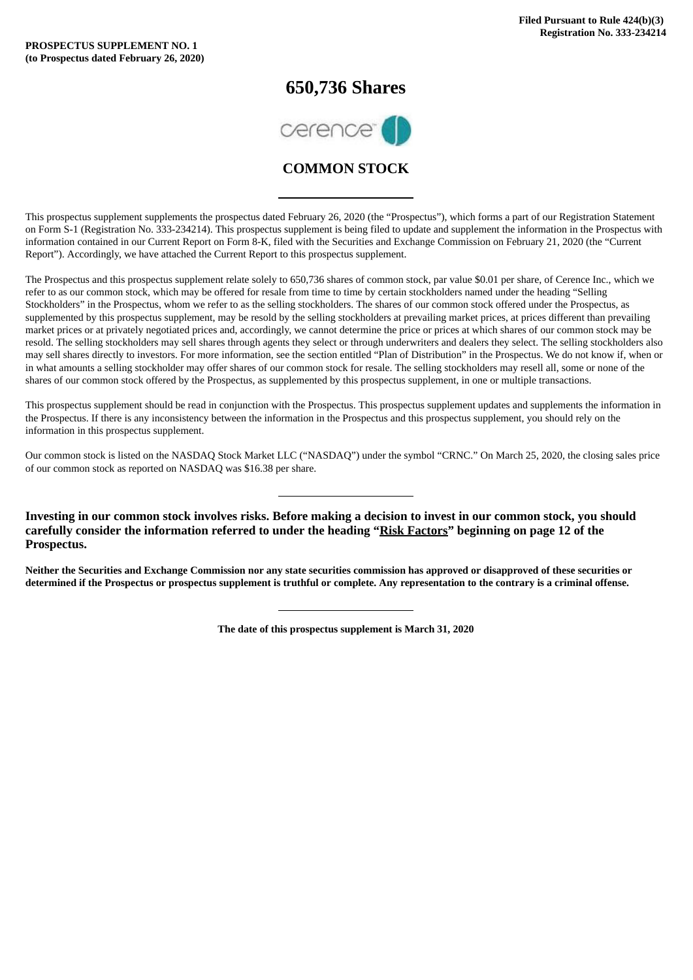### **650,736 Shares**



### **COMMON STOCK**

This prospectus supplement supplements the prospectus dated February 26, 2020 (the "Prospectus"), which forms a part of our Registration Statement on Form S-1 (Registration No. 333-234214). This prospectus supplement is being filed to update and supplement the information in the Prospectus with information contained in our Current Report on Form 8-K, filed with the Securities and Exchange Commission on February 21, 2020 (the "Current Report"). Accordingly, we have attached the Current Report to this prospectus supplement.

The Prospectus and this prospectus supplement relate solely to 650,736 shares of common stock, par value \$0.01 per share, of Cerence Inc., which we refer to as our common stock, which may be offered for resale from time to time by certain stockholders named under the heading "Selling Stockholders" in the Prospectus, whom we refer to as the selling stockholders. The shares of our common stock offered under the Prospectus, as supplemented by this prospectus supplement, may be resold by the selling stockholders at prevailing market prices, at prices different than prevailing market prices or at privately negotiated prices and, accordingly, we cannot determine the price or prices at which shares of our common stock may be resold. The selling stockholders may sell shares through agents they select or through underwriters and dealers they select. The selling stockholders also may sell shares directly to investors. For more information, see the section entitled "Plan of Distribution" in the Prospectus. We do not know if, when or in what amounts a selling stockholder may offer shares of our common stock for resale. The selling stockholders may resell all, some or none of the shares of our common stock offered by the Prospectus, as supplemented by this prospectus supplement, in one or multiple transactions.

This prospectus supplement should be read in conjunction with the Prospectus. This prospectus supplement updates and supplements the information in the Prospectus. If there is any inconsistency between the information in the Prospectus and this prospectus supplement, you should rely on the information in this prospectus supplement.

Our common stock is listed on the NASDAQ Stock Market LLC ("NASDAQ") under the symbol "CRNC." On March 25, 2020, the closing sales price of our common stock as reported on NASDAQ was \$16.38 per share.

**Investing in our common stock involves risks. Before making a decision to invest in our common stock, you should carefully consider the information referred to under the heading "Risk Factors" beginning on page 12 of the Prospectus.**

Neither the Securities and Exchange Commission nor any state securities commission has approved or disapproved of these securities or determined if the Prospectus or prospectus supplement is truthful or complete. Any representation to the contrary is a criminal offense.

**The date of this prospectus supplement is March 31, 2020**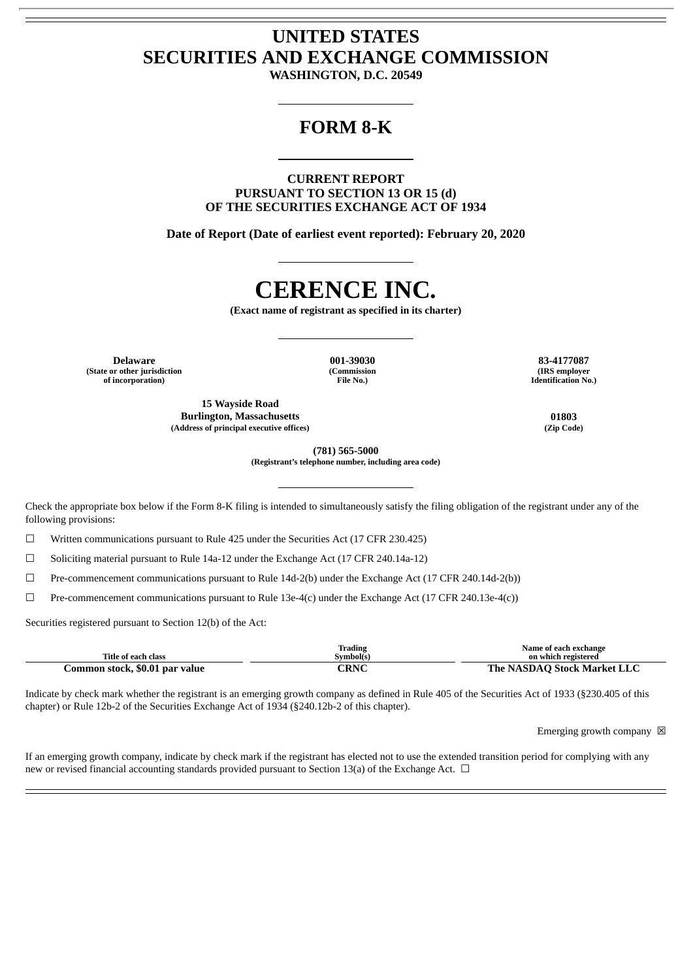## **UNITED STATES SECURITIES AND EXCHANGE COMMISSION**

**WASHINGTON, D.C. 20549**

## **FORM 8-K**

**CURRENT REPORT PURSUANT TO SECTION 13 OR 15 (d) OF THE SECURITIES EXCHANGE ACT OF 1934**

**Date of Report (Date of earliest event reported): February 20, 2020**

# **CERENCE INC.**

**(Exact name of registrant as specified in its charter)**

**Delaware 001-39030 83-4177087 (State or other jurisdiction of incorporation)**

**(Commission File No.)**

**15 Wayside Road Burlington, Massachusetts 01803 (Address of principal executive offices) (Zip Code)**

**(IRS employer Identification No.)**

**(781) 565-5000**

**(Registrant's telephone number, including area code)**

Check the appropriate box below if the Form 8-K filing is intended to simultaneously satisfy the filing obligation of the registrant under any of the following provisions:

☐ Written communications pursuant to Rule 425 under the Securities Act (17 CFR 230.425)

 $\Box$  Soliciting material pursuant to Rule 14a-12 under the Exchange Act (17 CFR 240.14a-12)

☐ Pre-commencement communications pursuant to Rule 14d-2(b) under the Exchange Act (17 CFR 240.14d-2(b))

 $\Box$  Pre-commencement communications pursuant to Rule 13e-4(c) under the Exchange Act (17 CFR 240.13e-4(c))

Securities registered pursuant to Section 12(b) of the Act:

| Title of each class            | Trading<br>Symbol(s) | Name of each exchange<br>on which registered |
|--------------------------------|----------------------|----------------------------------------------|
| Common stock, \$0.01 par value | <b>CRNC</b>          | The NASDAO Stock Market LLC                  |

Indicate by check mark whether the registrant is an emerging growth company as defined in Rule 405 of the Securities Act of 1933 (§230.405 of this chapter) or Rule 12b-2 of the Securities Exchange Act of 1934 (§240.12b-2 of this chapter).

Emerging growth company  $\boxtimes$ 

If an emerging growth company, indicate by check mark if the registrant has elected not to use the extended transition period for complying with any new or revised financial accounting standards provided pursuant to Section 13(a) of the Exchange Act. □